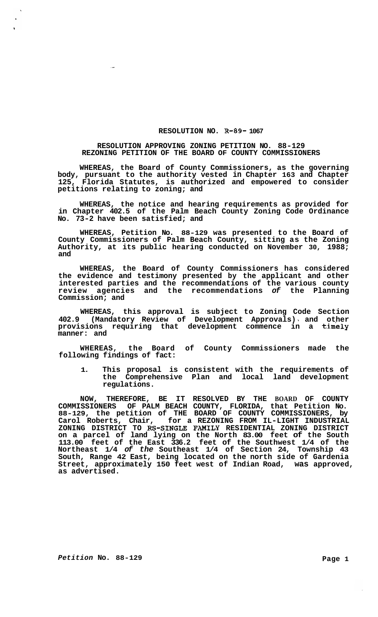## **RESOLUTION NO. R-89- 1067**

## **RESOLUTION APPROVING ZONING PETITION NO. 88-129 REZONING PETITION OF THE BOARD OF COUNTY COMMISSIONERS**

**WHEREAS, the Board of County Commissioners, as the governing body, pursuant to the authority vested in Chapter 163 and Chapter 125, Florida Statutes, is authorized and empowered to consider petitions relating to zoning; and** 

**WHEREAS, the notice and hearing requirements as provided for in Chapter 402.5 of the Palm Beach County Zoning Code Ordinance No. 73-2 have been satisfied; and** 

**WHEREAS, Petition No. 88-129 was presented to the Board of County Commissioners of Palm Beach County, sitting as the Zoning Authority, at its public hearing conducted on November 30, 1988; and** 

**WHEREAS, the Board of County Commissioners has considered the evidence and testimony presented by the applicant and other interested parties and the recommendations of the various county review agencies and the recommendations** *of* **the Planning Commission; and** 

**WHEREAS, this approval is subject to Zoning Code Section 402.9 (Mandatory Review of Development Approvals) I and other provisions requiring that development commence in a timely manner: and** 

**WHEREAS, the Board of County Commissioners made the following findings of fact:** 

**1. This proposal is consistent with the requirements of the Comprehensive Plan and local land development regulations.** 

**NOW, THEREFORE, BE IT RESOLVED BY THE BOARD OF COUNTY COMMISSIONERS OF PALM BEACH COUNTY, FLORIDA, that Petition No. 88-129, the petition of THE BOARD OF COUNTY COMMISSIONERS, by Carol Roberts, Chair, for a REZONING FROM IL-LIGHT INDUSTRIAL on a parcel of land lying on the North 83.00 feet of the South 113.00 feet of the East 336.2 feet of the Southwest 1/4 of the Northeast 1/4** *of the* **Southeast 1/4 of Section 24, Township 43 South, Range 42 East, being located on the north side of Gardenia Street, approximately 150 feet west of Indian Road, was approved, as advertised.**  ZONING DISTRICT TO **RS-SINGLE FAMILY** RESIDENTIAL ZONING DISTRICT